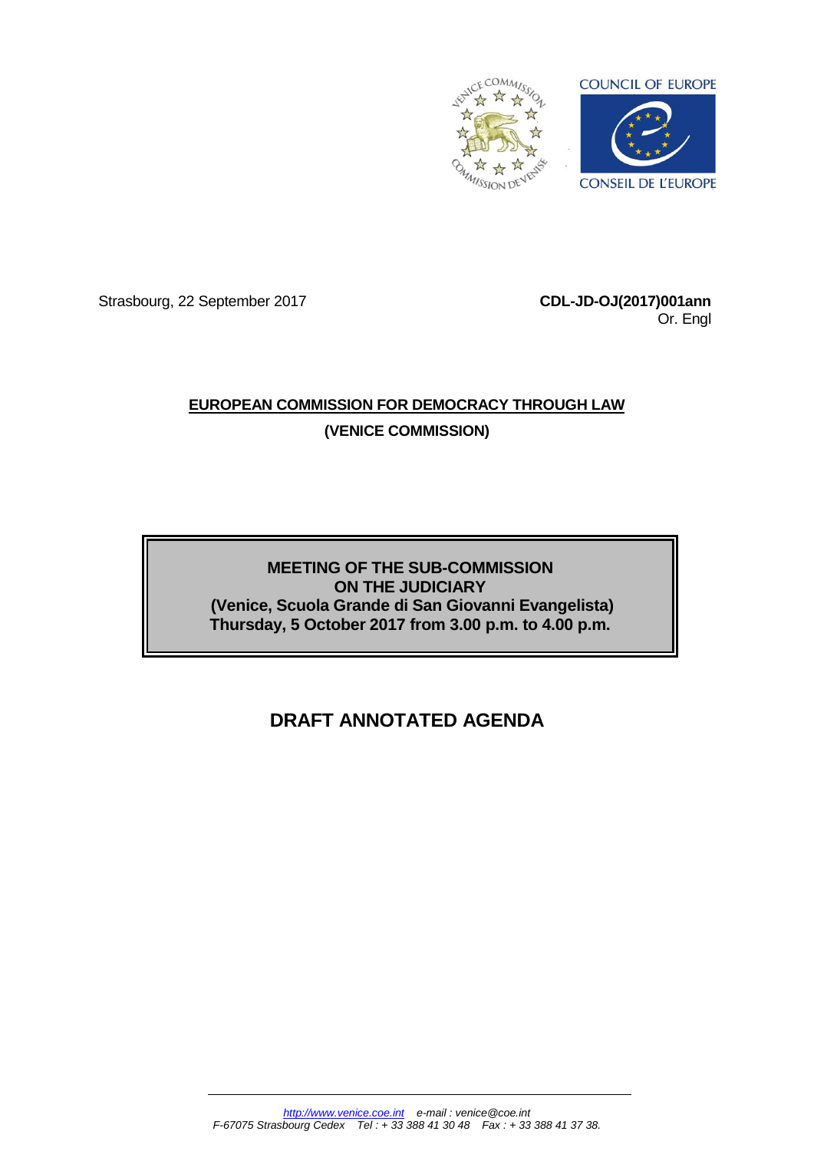

Strasbourg, 22 September 2017 **CDL-JD-OJ(2017)001ann**

Or. Engl

## **EUROPEAN COMMISSION FOR DEMOCRACY THROUGH LAW (VENICE COMMISSION)**

**MEETING OF THE SUB-COMMISSION ON THE JUDICIARY (Venice, Scuola Grande di San Giovanni Evangelista) Thursday, 5 October 2017 from 3.00 p.m. to 4.00 p.m.**

# **DRAFT ANNOTATED AGENDA**